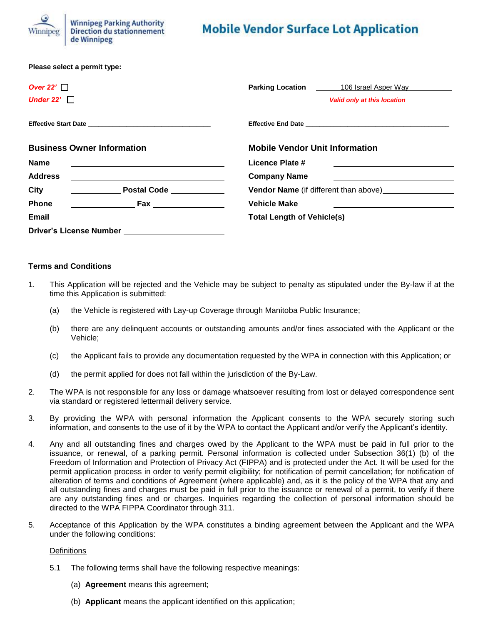

# **Mobile Vendor Surface Lot Application**

| Please select a permit type:            |                                                                                                                                                                                                                                |
|-----------------------------------------|--------------------------------------------------------------------------------------------------------------------------------------------------------------------------------------------------------------------------------|
| Over 22' $\Box$                         | <b>Parking Location</b><br>106 Israel Asper Way                                                                                                                                                                                |
| Under 22' $\Box$                        | <b>Valid only at this location</b>                                                                                                                                                                                             |
|                                         |                                                                                                                                                                                                                                |
| <b>Business Owner Information</b>       | <b>Mobile Vendor Unit Information</b>                                                                                                                                                                                          |
| <b>Name</b>                             | Licence Plate #                                                                                                                                                                                                                |
| <b>Address</b>                          | <b>Company Name</b>                                                                                                                                                                                                            |
| <b>City</b><br><b>Postal Code</b>       | <b>Vendor Name</b> (if different than above) <b>Last Containst</b>                                                                                                                                                             |
| <b>Phone</b><br><b>Example 2018 Fax</b> | <b>Vehicle Make</b>                                                                                                                                                                                                            |
| Email                                   | Total Length of Vehicle(s) and the control of the control of the control of the control of the control of the control of the control of the control of the control of the control of the control of the control of the control |
| <b>Driver's License Number</b>          |                                                                                                                                                                                                                                |

#### **Terms and Conditions**

- 1. This Application will be rejected and the Vehicle may be subject to penalty as stipulated under the By-law if at the time this Application is submitted:
	- (a) the Vehicle is registered with Lay-up Coverage through Manitoba Public Insurance;
	- (b) there are any delinquent accounts or outstanding amounts and/or fines associated with the Applicant or the Vehicle;
	- (c) the Applicant fails to provide any documentation requested by the WPA in connection with this Application; or
	- (d) the permit applied for does not fall within the jurisdiction of the By-Law.
- 2. The WPA is not responsible for any loss or damage whatsoever resulting from lost or delayed correspondence sent via standard or registered lettermail delivery service.
- 3. By providing the WPA with personal information the Applicant consents to the WPA securely storing such information, and consents to the use of it by the WPA to contact the Applicant and/or verify the Applicant's identity.
- 4. Any and all outstanding fines and charges owed by the Applicant to the WPA must be paid in full prior to the issuance, or renewal, of a parking permit. Personal information is collected under Subsection 36(1) (b) of the Freedom of Information and Protection of Privacy Act (FIPPA) and is protected under the Act. It will be used for the permit application process in order to verify permit eligibility; for notification of permit cancellation; for notification of alteration of terms and conditions of Agreement (where applicable) and, as it is the policy of the WPA that any and all outstanding fines and charges must be paid in full prior to the issuance or renewal of a permit, to verify if there are any outstanding fines and or charges. Inquiries regarding the collection of personal information should be directed to the WPA FIPPA Coordinator through 311.
- 5. Acceptance of this Application by the WPA constitutes a binding agreement between the Applicant and the WPA under the following conditions:

#### **Definitions**

- 5.1 The following terms shall have the following respective meanings:
	- (a) **Agreement** means this agreement;
	- (b) **Applicant** means the applicant identified on this application;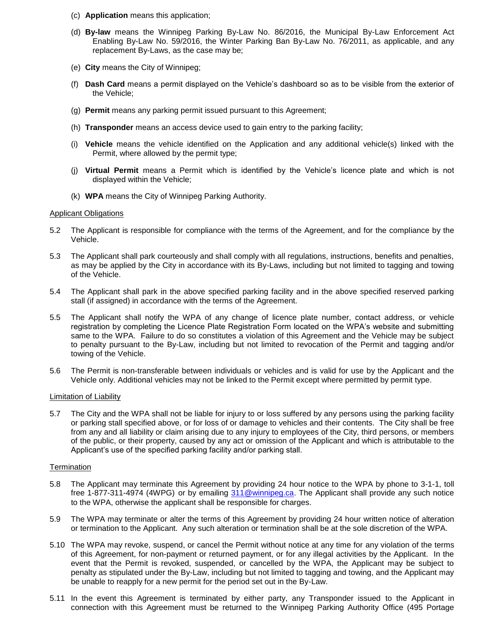- (c) **Application** means this application;
- (d) **By-law** means the Winnipeg Parking By-Law No. 86/2016, the Municipal By-Law Enforcement Act Enabling By-Law No. 59/2016, the Winter Parking Ban By-Law No. 76/2011, as applicable, and any replacement By-Laws, as the case may be;
- (e) **City** means the City of Winnipeg;
- (f) **Dash Card** means a permit displayed on the Vehicle's dashboard so as to be visible from the exterior of the Vehicle;
- (g) **Permit** means any parking permit issued pursuant to this Agreement;
- (h) **Transponder** means an access device used to gain entry to the parking facility;
- (i) **Vehicle** means the vehicle identified on the Application and any additional vehicle(s) linked with the Permit, where allowed by the permit type;
- (j) **Virtual Permit** means a Permit which is identified by the Vehicle's licence plate and which is not displayed within the Vehicle;
- (k) **WPA** means the City of Winnipeg Parking Authority.

## Applicant Obligations

- 5.2 The Applicant is responsible for compliance with the terms of the Agreement, and for the compliance by the Vehicle.
- 5.3 The Applicant shall park courteously and shall comply with all regulations, instructions, benefits and penalties, as may be applied by the City in accordance with its By-Laws, including but not limited to tagging and towing of the Vehicle.
- 5.4 The Applicant shall park in the above specified parking facility and in the above specified reserved parking stall (if assigned) in accordance with the terms of the Agreement.
- 5.5 The Applicant shall notify the WPA of any change of licence plate number, contact address, or vehicle registration by completing the Licence Plate Registration Form located on the WPA's website and submitting same to the WPA. Failure to do so constitutes a violation of this Agreement and the Vehicle may be subject to penalty pursuant to the By-Law, including but not limited to revocation of the Permit and tagging and/or towing of the Vehicle.
- 5.6 The Permit is non-transferable between individuals or vehicles and is valid for use by the Applicant and the Vehicle only. Additional vehicles may not be linked to the Permit except where permitted by permit type.

## Limitation of Liability

5.7 The City and the WPA shall not be liable for injury to or loss suffered by any persons using the parking facility or parking stall specified above, or for loss of or damage to vehicles and their contents. The City shall be free from any and all liability or claim arising due to any injury to employees of the City, third persons, or members of the public, or their property, caused by any act or omission of the Applicant and which is attributable to the Applicant's use of the specified parking facility and/or parking stall.

## **Termination**

- 5.8 The Applicant may terminate this Agreement by providing 24 hour notice to the WPA by phone to 3-1-1, toll free 1-877-311-4974 (4WPG) or by emailing 311@winnipeg.ca. The Applicant shall provide any such notice to the WPA, otherwise the applicant shall be responsible for charges.
- 5.9 The WPA may terminate or alter the terms of this Agreement by providing 24 hour written notice of alteration or termination to the Applicant. Any such alteration or termination shall be at the sole discretion of the WPA.
- 5.10 The WPA may revoke, suspend, or cancel the Permit without notice at any time for any violation of the terms of this Agreement, for non-payment or returned payment, or for any illegal activities by the Applicant. In the event that the Permit is revoked, suspended, or cancelled by the WPA, the Applicant may be subject to penalty as stipulated under the By-Law, including but not limited to tagging and towing, and the Applicant may be unable to reapply for a new permit for the period set out in the By-Law.
- 5.11 In the event this Agreement is terminated by either party, any Transponder issued to the Applicant in connection with this Agreement must be returned to the Winnipeg Parking Authority Office (495 Portage